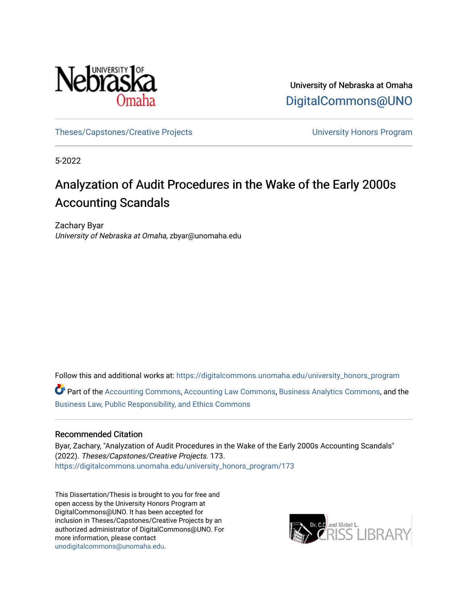

University of Nebraska at Omaha [DigitalCommons@UNO](https://digitalcommons.unomaha.edu/) 

[Theses/Capstones/Creative Projects](https://digitalcommons.unomaha.edu/university_honors_program) [University Honors Program](https://digitalcommons.unomaha.edu/honors_community) 

5-2022

# Analyzation of Audit Procedures in the Wake of the Early 2000s Accounting Scandals

Zachary Byar University of Nebraska at Omaha, zbyar@unomaha.edu

Follow this and additional works at: [https://digitalcommons.unomaha.edu/university\\_honors\\_program](https://digitalcommons.unomaha.edu/university_honors_program?utm_source=digitalcommons.unomaha.edu%2Funiversity_honors_program%2F173&utm_medium=PDF&utm_campaign=PDFCoverPages)

Part of the [Accounting Commons](https://network.bepress.com/hgg/discipline/625?utm_source=digitalcommons.unomaha.edu%2Funiversity_honors_program%2F173&utm_medium=PDF&utm_campaign=PDFCoverPages), [Accounting Law Commons,](https://network.bepress.com/hgg/discipline/828?utm_source=digitalcommons.unomaha.edu%2Funiversity_honors_program%2F173&utm_medium=PDF&utm_campaign=PDFCoverPages) [Business Analytics Commons](https://network.bepress.com/hgg/discipline/1398?utm_source=digitalcommons.unomaha.edu%2Funiversity_honors_program%2F173&utm_medium=PDF&utm_campaign=PDFCoverPages), and the [Business Law, Public Responsibility, and Ethics Commons](https://network.bepress.com/hgg/discipline/628?utm_source=digitalcommons.unomaha.edu%2Funiversity_honors_program%2F173&utm_medium=PDF&utm_campaign=PDFCoverPages) 

## Recommended Citation

Byar, Zachary, "Analyzation of Audit Procedures in the Wake of the Early 2000s Accounting Scandals" (2022). Theses/Capstones/Creative Projects. 173. [https://digitalcommons.unomaha.edu/university\\_honors\\_program/173](https://digitalcommons.unomaha.edu/university_honors_program/173?utm_source=digitalcommons.unomaha.edu%2Funiversity_honors_program%2F173&utm_medium=PDF&utm_campaign=PDFCoverPages)

This Dissertation/Thesis is brought to you for free and open access by the University Honors Program at DigitalCommons@UNO. It has been accepted for inclusion in Theses/Capstones/Creative Projects by an authorized administrator of DigitalCommons@UNO. For more information, please contact [unodigitalcommons@unomaha.edu.](mailto:unodigitalcommons@unomaha.edu)

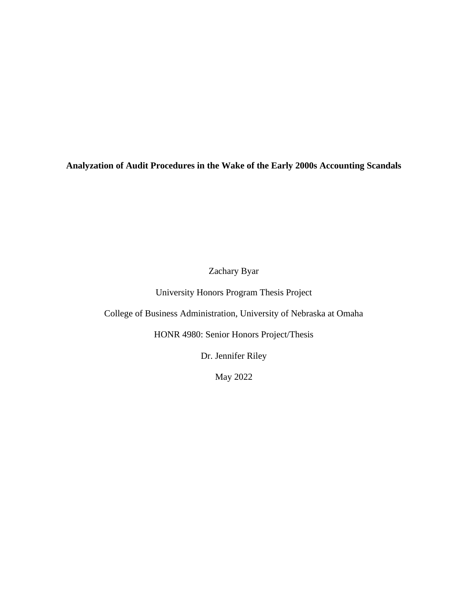**Analyzation of Audit Procedures in the Wake of the Early 2000s Accounting Scandals**

Zachary Byar

University Honors Program Thesis Project

College of Business Administration, University of Nebraska at Omaha

HONR 4980: Senior Honors Project/Thesis

Dr. Jennifer Riley

May 2022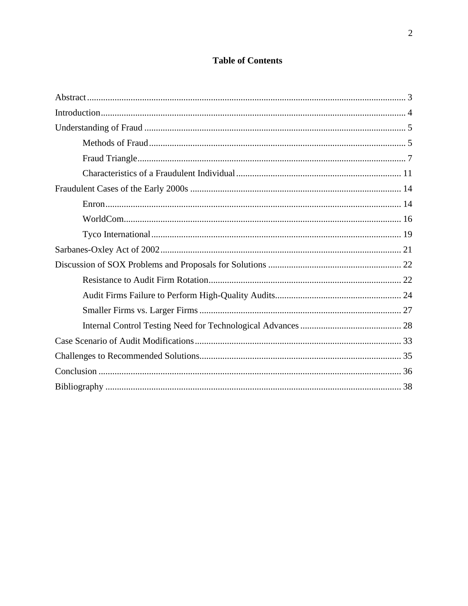## **Table of Contents**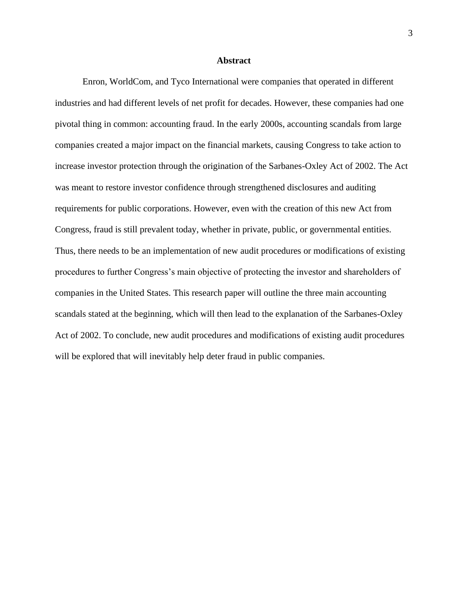#### **Abstract**

<span id="page-3-0"></span>Enron, WorldCom, and Tyco International were companies that operated in different industries and had different levels of net profit for decades. However, these companies had one pivotal thing in common: accounting fraud. In the early 2000s, accounting scandals from large companies created a major impact on the financial markets, causing Congress to take action to increase investor protection through the origination of the Sarbanes-Oxley Act of 2002. The Act was meant to restore investor confidence through strengthened disclosures and auditing requirements for public corporations. However, even with the creation of this new Act from Congress, fraud is still prevalent today, whether in private, public, or governmental entities. Thus, there needs to be an implementation of new audit procedures or modifications of existing procedures to further Congress's main objective of protecting the investor and shareholders of companies in the United States. This research paper will outline the three main accounting scandals stated at the beginning, which will then lead to the explanation of the Sarbanes-Oxley Act of 2002. To conclude, new audit procedures and modifications of existing audit procedures will be explored that will inevitably help deter fraud in public companies.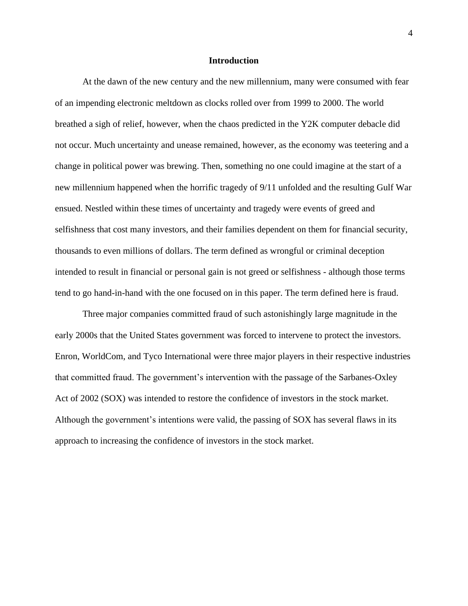#### **Introduction**

<span id="page-4-0"></span>At the dawn of the new century and the new millennium, many were consumed with fear of an impending electronic meltdown as clocks rolled over from 1999 to 2000. The world breathed a sigh of relief, however, when the chaos predicted in the Y2K computer debacle did not occur. Much uncertainty and unease remained, however, as the economy was teetering and a change in political power was brewing. Then, something no one could imagine at the start of a new millennium happened when the horrific tragedy of 9/11 unfolded and the resulting Gulf War ensued. Nestled within these times of uncertainty and tragedy were events of greed and selfishness that cost many investors, and their families dependent on them for financial security, thousands to even millions of dollars. The term defined as wrongful or criminal deception intended to result in financial or personal gain is not greed or selfishness - although those terms tend to go hand-in-hand with the one focused on in this paper. The term defined here is fraud.

Three major companies committed fraud of such astonishingly large magnitude in the early 2000s that the United States government was forced to intervene to protect the investors. Enron, WorldCom, and Tyco International were three major players in their respective industries that committed fraud. The government's intervention with the passage of the Sarbanes-Oxley Act of 2002 (SOX) was intended to restore the confidence of investors in the stock market. Although the government's intentions were valid, the passing of SOX has several flaws in its approach to increasing the confidence of investors in the stock market.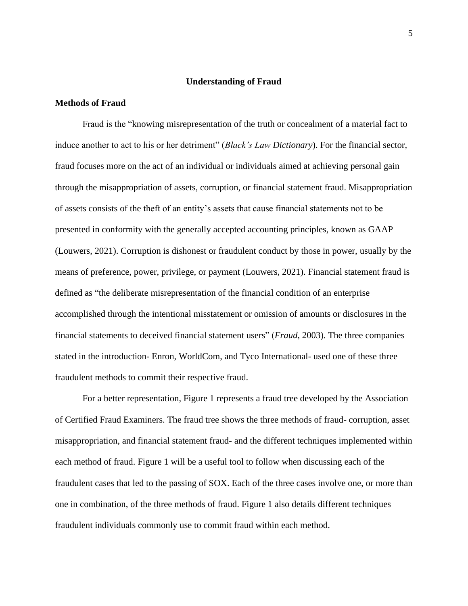## **Understanding of Fraud**

## <span id="page-5-1"></span><span id="page-5-0"></span>**Methods of Fraud**

Fraud is the "knowing misrepresentation of the truth or concealment of a material fact to induce another to act to his or her detriment" (*Black's Law Dictionary*). For the financial sector, fraud focuses more on the act of an individual or individuals aimed at achieving personal gain through the misappropriation of assets, corruption, or financial statement fraud. Misappropriation of assets consists of the theft of an entity's assets that cause financial statements not to be presented in conformity with the generally accepted accounting principles, known as GAAP (Louwers, 2021). Corruption is dishonest or fraudulent conduct by those in power, usually by the means of preference, power, privilege, or payment (Louwers, 2021). Financial statement fraud is defined as "the deliberate misrepresentation of the financial condition of an enterprise accomplished through the intentional misstatement or omission of amounts or disclosures in the financial statements to deceived financial statement users" (*Fraud*, 2003). The three companies stated in the introduction- Enron, WorldCom, and Tyco International- used one of these three fraudulent methods to commit their respective fraud.

For a better representation, Figure 1 represents a fraud tree developed by the Association of Certified Fraud Examiners. The fraud tree shows the three methods of fraud- corruption, asset misappropriation, and financial statement fraud- and the different techniques implemented within each method of fraud. Figure 1 will be a useful tool to follow when discussing each of the fraudulent cases that led to the passing of SOX. Each of the three cases involve one, or more than one in combination, of the three methods of fraud. Figure 1 also details different techniques fraudulent individuals commonly use to commit fraud within each method.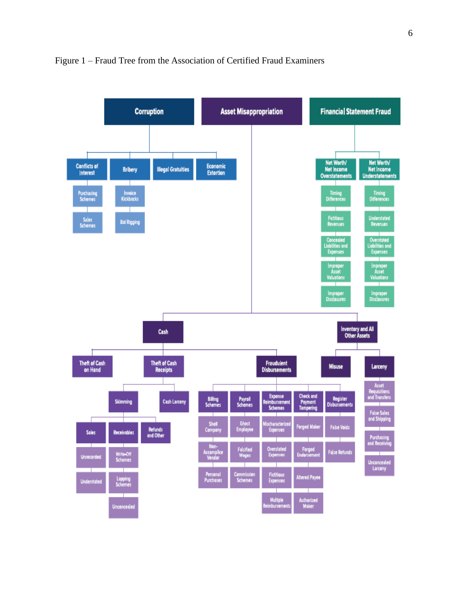

## Figure 1 – Fraud Tree from the Association of Certified Fraud Examiners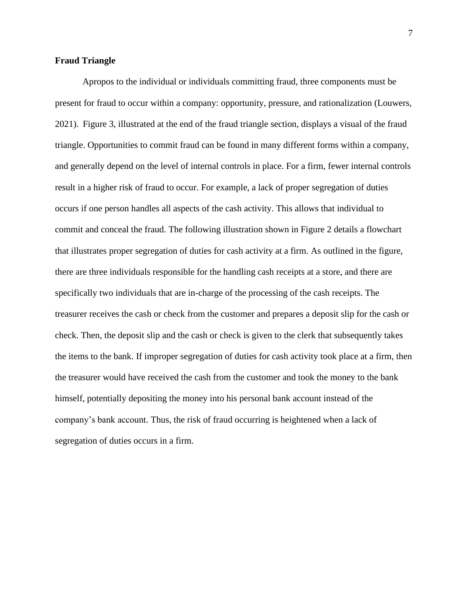## <span id="page-7-0"></span>**Fraud Triangle**

Apropos to the individual or individuals committing fraud, three components must be present for fraud to occur within a company: opportunity, pressure, and rationalization (Louwers, 2021). Figure 3, illustrated at the end of the fraud triangle section, displays a visual of the fraud triangle. Opportunities to commit fraud can be found in many different forms within a company, and generally depend on the level of internal controls in place. For a firm, fewer internal controls result in a higher risk of fraud to occur. For example, a lack of proper segregation of duties occurs if one person handles all aspects of the cash activity. This allows that individual to commit and conceal the fraud. The following illustration shown in Figure 2 details a flowchart that illustrates proper segregation of duties for cash activity at a firm. As outlined in the figure, there are three individuals responsible for the handling cash receipts at a store, and there are specifically two individuals that are in-charge of the processing of the cash receipts. The treasurer receives the cash or check from the customer and prepares a deposit slip for the cash or check. Then, the deposit slip and the cash or check is given to the clerk that subsequently takes the items to the bank. If improper segregation of duties for cash activity took place at a firm, then the treasurer would have received the cash from the customer and took the money to the bank himself, potentially depositing the money into his personal bank account instead of the company's bank account. Thus, the risk of fraud occurring is heightened when a lack of segregation of duties occurs in a firm.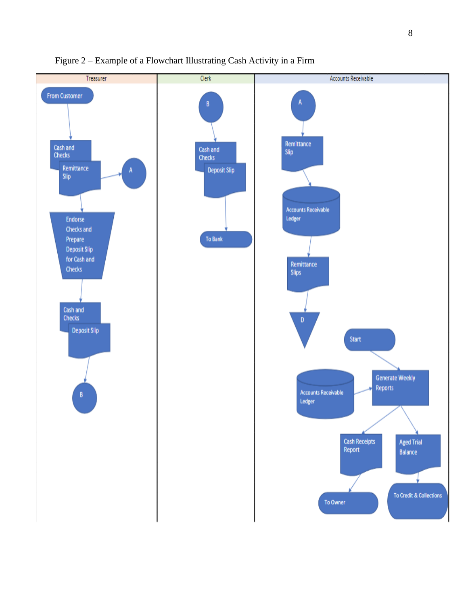

## Figure 2 – Example of a Flowchart Illustrating Cash Activity in a Firm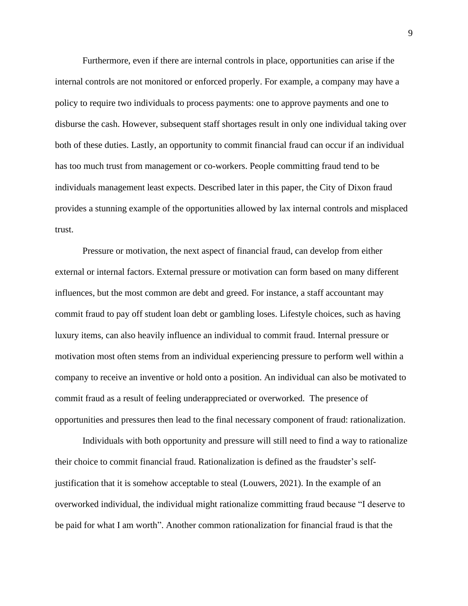Furthermore, even if there are internal controls in place, opportunities can arise if the internal controls are not monitored or enforced properly. For example, a company may have a policy to require two individuals to process payments: one to approve payments and one to disburse the cash. However, subsequent staff shortages result in only one individual taking over both of these duties. Lastly, an opportunity to commit financial fraud can occur if an individual has too much trust from management or co-workers. People committing fraud tend to be individuals management least expects. Described later in this paper, the City of Dixon fraud provides a stunning example of the opportunities allowed by lax internal controls and misplaced trust.

Pressure or motivation, the next aspect of financial fraud, can develop from either external or internal factors. External pressure or motivation can form based on many different influences, but the most common are debt and greed. For instance, a staff accountant may commit fraud to pay off student loan debt or gambling loses. Lifestyle choices, such as having luxury items, can also heavily influence an individual to commit fraud. Internal pressure or motivation most often stems from an individual experiencing pressure to perform well within a company to receive an inventive or hold onto a position. An individual can also be motivated to commit fraud as a result of feeling underappreciated or overworked. The presence of opportunities and pressures then lead to the final necessary component of fraud: rationalization.

Individuals with both opportunity and pressure will still need to find a way to rationalize their choice to commit financial fraud. Rationalization is defined as the fraudster's selfjustification that it is somehow acceptable to steal (Louwers, 2021). In the example of an overworked individual, the individual might rationalize committing fraud because "I deserve to be paid for what I am worth". Another common rationalization for financial fraud is that the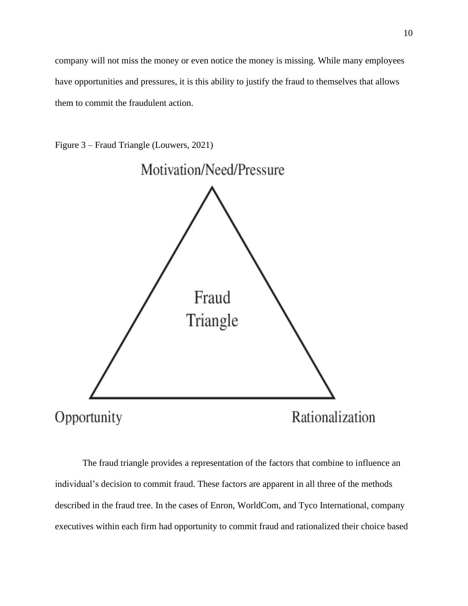company will not miss the money or even notice the money is missing. While many employees have opportunities and pressures, it is this ability to justify the fraud to themselves that allows them to commit the fraudulent action.

Figure 3 – Fraud Triangle (Louwers, 2021)



The fraud triangle provides a representation of the factors that combine to influence an individual's decision to commit fraud. These factors are apparent in all three of the methods described in the fraud tree. In the cases of Enron, WorldCom, and Tyco International, company executives within each firm had opportunity to commit fraud and rationalized their choice based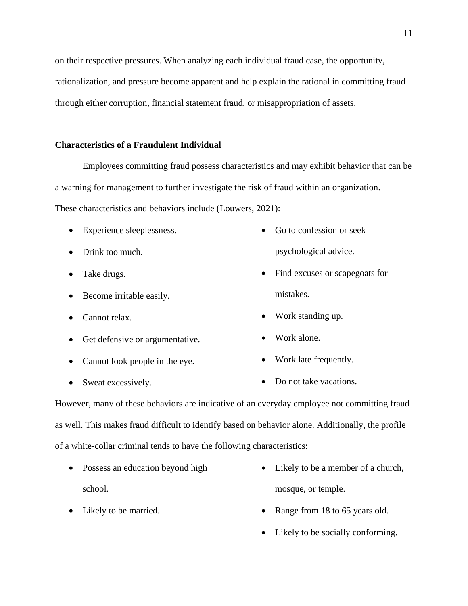on their respective pressures. When analyzing each individual fraud case, the opportunity, rationalization, and pressure become apparent and help explain the rational in committing fraud through either corruption, financial statement fraud, or misappropriation of assets.

## <span id="page-11-0"></span>**Characteristics of a Fraudulent Individual**

Employees committing fraud possess characteristics and may exhibit behavior that can be a warning for management to further investigate the risk of fraud within an organization. These characteristics and behaviors include (Louwers, 2021):

- Experience sleeplessness.
	- Drink too much.
	- Take drugs.
	- Become irritable easily.
	- Cannot relax.
	- Get defensive or argumentative.
	- Cannot look people in the eye.
- Go to confession or seek psychological advice.
- Find excuses or scapegoats for mistakes.
- Work standing up.
- Work alone.
- Work late frequently.
- Sweat excessively. • Do not take vacations.

However, many of these behaviors are indicative of an everyday employee not committing fraud as well. This makes fraud difficult to identify based on behavior alone. Additionally, the profile of a white-collar criminal tends to have the following characteristics:

- Possess an education beyond high school.
- Likely to be a member of a church, mosque, or temple.
- Range from 18 to 65 years old.
- Likely to be socially conforming.

• Likely to be married.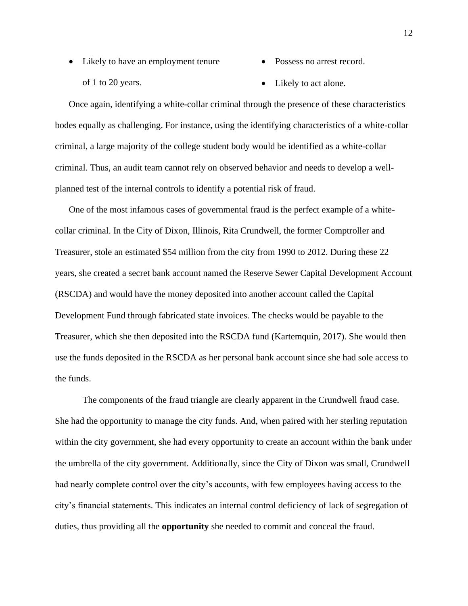- Likely to have an employment tenure of 1 to 20 years.
- Possess no arrest record.
- Likely to act alone.

Once again, identifying a white-collar criminal through the presence of these characteristics bodes equally as challenging. For instance, using the identifying characteristics of a white-collar criminal, a large majority of the college student body would be identified as a white-collar criminal. Thus, an audit team cannot rely on observed behavior and needs to develop a wellplanned test of the internal controls to identify a potential risk of fraud.

One of the most infamous cases of governmental fraud is the perfect example of a whitecollar criminal. In the City of Dixon, Illinois, Rita Crundwell, the former Comptroller and Treasurer, stole an estimated \$54 million from the city from 1990 to 2012. During these 22 years, she created a secret bank account named the Reserve Sewer Capital Development Account (RSCDA) and would have the money deposited into another account called the Capital Development Fund through fabricated state invoices. The checks would be payable to the Treasurer, which she then deposited into the RSCDA fund (Kartemquin, 2017). She would then use the funds deposited in the RSCDA as her personal bank account since she had sole access to the funds.

The components of the fraud triangle are clearly apparent in the Crundwell fraud case. She had the opportunity to manage the city funds. And, when paired with her sterling reputation within the city government, she had every opportunity to create an account within the bank under the umbrella of the city government. Additionally, since the City of Dixon was small, Crundwell had nearly complete control over the city's accounts, with few employees having access to the city's financial statements. This indicates an internal control deficiency of lack of segregation of duties, thus providing all the **opportunity** she needed to commit and conceal the fraud.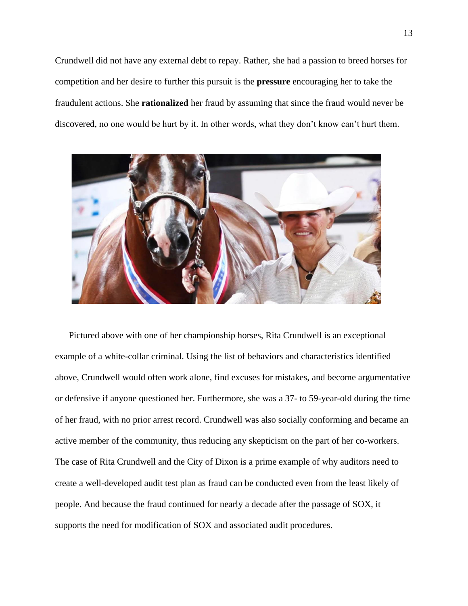Crundwell did not have any external debt to repay. Rather, she had a passion to breed horses for competition and her desire to further this pursuit is the **pressure** encouraging her to take the fraudulent actions. She **rationalized** her fraud by assuming that since the fraud would never be discovered, no one would be hurt by it. In other words, what they don't know can't hurt them.



Pictured above with one of her championship horses, Rita Crundwell is an exceptional example of a white-collar criminal. Using the list of behaviors and characteristics identified above, Crundwell would often work alone, find excuses for mistakes, and become argumentative or defensive if anyone questioned her. Furthermore, she was a 37- to 59-year-old during the time of her fraud, with no prior arrest record. Crundwell was also socially conforming and became an active member of the community, thus reducing any skepticism on the part of her co-workers. The case of Rita Crundwell and the City of Dixon is a prime example of why auditors need to create a well-developed audit test plan as fraud can be conducted even from the least likely of people. And because the fraud continued for nearly a decade after the passage of SOX, it supports the need for modification of SOX and associated audit procedures.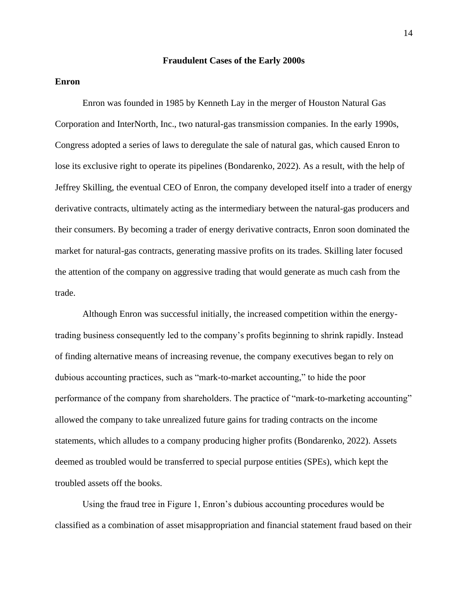### **Fraudulent Cases of the Early 2000s**

## <span id="page-14-1"></span><span id="page-14-0"></span>**Enron**

Enron was founded in 1985 by Kenneth Lay in the merger of Houston Natural Gas Corporation and InterNorth, Inc., two natural-gas transmission companies. In the early 1990s, Congress adopted a series of laws to deregulate the sale of natural gas, which caused Enron to lose its exclusive right to operate its pipelines (Bondarenko, 2022). As a result, with the help of Jeffrey Skilling, the eventual CEO of Enron, the company developed itself into a trader of energy derivative contracts, ultimately acting as the intermediary between the natural-gas producers and their consumers. By becoming a trader of energy derivative contracts, Enron soon dominated the market for natural-gas contracts, generating massive profits on its trades. Skilling later focused the attention of the company on aggressive trading that would generate as much cash from the trade.

Although Enron was successful initially, the increased competition within the energytrading business consequently led to the company's profits beginning to shrink rapidly. Instead of finding alternative means of increasing revenue, the company executives began to rely on dubious accounting practices, such as "mark-to-market accounting," to hide the poor performance of the company from shareholders. The practice of "mark-to-marketing accounting" allowed the company to take unrealized future gains for trading contracts on the income statements, which alludes to a company producing higher profits (Bondarenko, 2022). Assets deemed as troubled would be transferred to special purpose entities (SPEs), which kept the troubled assets off the books.

Using the fraud tree in Figure 1, Enron's dubious accounting procedures would be classified as a combination of asset misappropriation and financial statement fraud based on their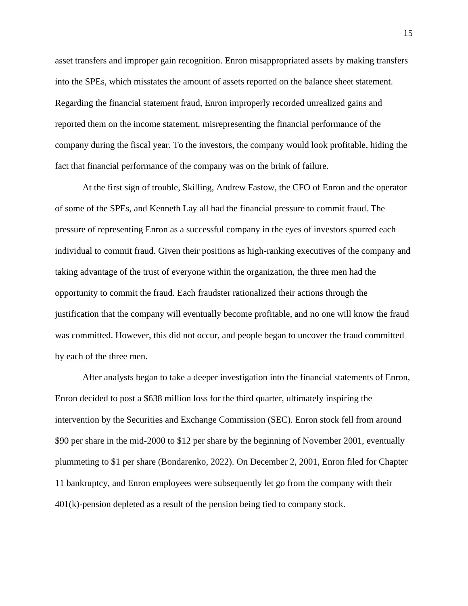asset transfers and improper gain recognition. Enron misappropriated assets by making transfers into the SPEs, which misstates the amount of assets reported on the balance sheet statement. Regarding the financial statement fraud, Enron improperly recorded unrealized gains and reported them on the income statement, misrepresenting the financial performance of the company during the fiscal year. To the investors, the company would look profitable, hiding the fact that financial performance of the company was on the brink of failure.

At the first sign of trouble, Skilling, Andrew Fastow, the CFO of Enron and the operator of some of the SPEs, and Kenneth Lay all had the financial pressure to commit fraud. The pressure of representing Enron as a successful company in the eyes of investors spurred each individual to commit fraud. Given their positions as high-ranking executives of the company and taking advantage of the trust of everyone within the organization, the three men had the opportunity to commit the fraud. Each fraudster rationalized their actions through the justification that the company will eventually become profitable, and no one will know the fraud was committed. However, this did not occur, and people began to uncover the fraud committed by each of the three men.

After analysts began to take a deeper investigation into the financial statements of Enron, Enron decided to post a \$638 million loss for the third quarter, ultimately inspiring the intervention by the Securities and Exchange Commission (SEC). Enron stock fell from around \$90 per share in the mid-2000 to \$12 per share by the beginning of November 2001, eventually plummeting to \$1 per share (Bondarenko, 2022). On December 2, 2001, Enron filed for Chapter 11 bankruptcy, and Enron employees were subsequently let go from the company with their 401(k)-pension depleted as a result of the pension being tied to company stock.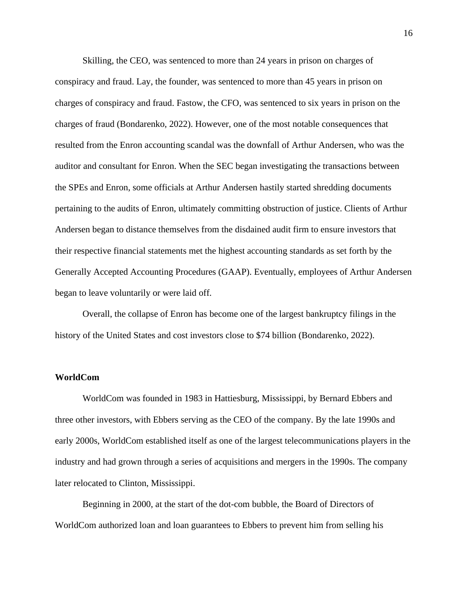Skilling, the CEO, was sentenced to more than 24 years in prison on charges of conspiracy and fraud. Lay, the founder, was sentenced to more than 45 years in prison on charges of conspiracy and fraud. Fastow, the CFO, was sentenced to six years in prison on the charges of fraud (Bondarenko, 2022). However, one of the most notable consequences that resulted from the Enron accounting scandal was the downfall of Arthur Andersen, who was the auditor and consultant for Enron. When the SEC began investigating the transactions between the SPEs and Enron, some officials at Arthur Andersen hastily started shredding documents pertaining to the audits of Enron, ultimately committing obstruction of justice. Clients of Arthur Andersen began to distance themselves from the disdained audit firm to ensure investors that their respective financial statements met the highest accounting standards as set forth by the Generally Accepted Accounting Procedures (GAAP). Eventually, employees of Arthur Andersen began to leave voluntarily or were laid off.

Overall, the collapse of Enron has become one of the largest bankruptcy filings in the history of the United States and cost investors close to \$74 billion (Bondarenko, 2022).

## <span id="page-16-0"></span>**WorldCom**

WorldCom was founded in 1983 in Hattiesburg, Mississippi, by Bernard Ebbers and three other investors, with Ebbers serving as the CEO of the company. By the late 1990s and early 2000s, WorldCom established itself as one of the largest telecommunications players in the industry and had grown through a series of acquisitions and mergers in the 1990s. The company later relocated to Clinton, Mississippi.

Beginning in 2000, at the start of the dot-com bubble, the Board of Directors of WorldCom authorized loan and loan guarantees to Ebbers to prevent him from selling his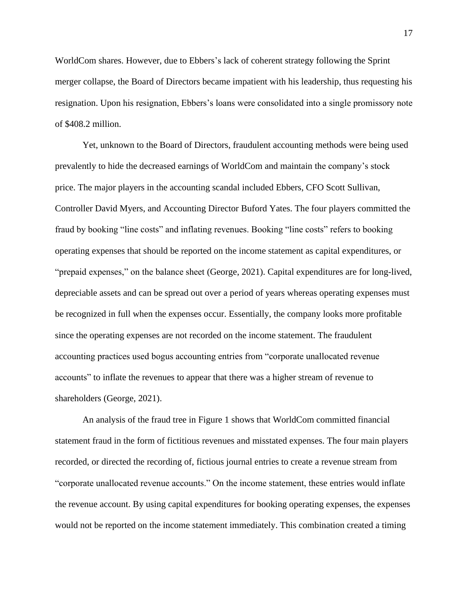WorldCom shares. However, due to Ebbers's lack of coherent strategy following the Sprint merger collapse, the Board of Directors became impatient with his leadership, thus requesting his resignation. Upon his resignation, Ebbers's loans were consolidated into a single promissory note of \$408.2 million.

Yet, unknown to the Board of Directors, fraudulent accounting methods were being used prevalently to hide the decreased earnings of WorldCom and maintain the company's stock price. The major players in the accounting scandal included Ebbers, CFO Scott Sullivan, Controller David Myers, and Accounting Director Buford Yates. The four players committed the fraud by booking "line costs" and inflating revenues. Booking "line costs" refers to booking operating expenses that should be reported on the income statement as capital expenditures, or "prepaid expenses," on the balance sheet (George, 2021). Capital expenditures are for long-lived, depreciable assets and can be spread out over a period of years whereas operating expenses must be recognized in full when the expenses occur. Essentially, the company looks more profitable since the operating expenses are not recorded on the income statement. The fraudulent accounting practices used bogus accounting entries from "corporate unallocated revenue accounts" to inflate the revenues to appear that there was a higher stream of revenue to shareholders (George, 2021).

An analysis of the fraud tree in Figure 1 shows that WorldCom committed financial statement fraud in the form of fictitious revenues and misstated expenses. The four main players recorded, or directed the recording of, fictious journal entries to create a revenue stream from "corporate unallocated revenue accounts." On the income statement, these entries would inflate the revenue account. By using capital expenditures for booking operating expenses, the expenses would not be reported on the income statement immediately. This combination created a timing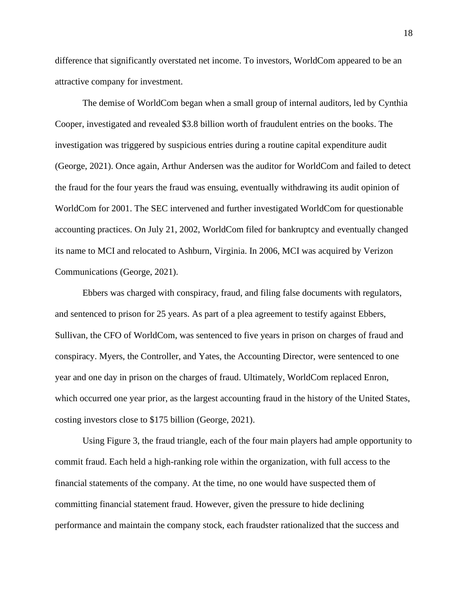difference that significantly overstated net income. To investors, WorldCom appeared to be an attractive company for investment.

The demise of WorldCom began when a small group of internal auditors, led by Cynthia Cooper, investigated and revealed \$3.8 billion worth of fraudulent entries on the books. The investigation was triggered by suspicious entries during a routine capital expenditure audit (George, 2021). Once again, Arthur Andersen was the auditor for WorldCom and failed to detect the fraud for the four years the fraud was ensuing, eventually withdrawing its audit opinion of WorldCom for 2001. The SEC intervened and further investigated WorldCom for questionable accounting practices. On July 21, 2002, WorldCom filed for bankruptcy and eventually changed its name to MCI and relocated to Ashburn, Virginia. In 2006, MCI was acquired by Verizon Communications (George, 2021).

Ebbers was charged with conspiracy, fraud, and filing false documents with regulators, and sentenced to prison for 25 years. As part of a plea agreement to testify against Ebbers, Sullivan, the CFO of WorldCom, was sentenced to five years in prison on charges of fraud and conspiracy. Myers, the Controller, and Yates, the Accounting Director, were sentenced to one year and one day in prison on the charges of fraud. Ultimately, WorldCom replaced Enron, which occurred one year prior, as the largest accounting fraud in the history of the United States, costing investors close to \$175 billion (George, 2021).

Using Figure 3, the fraud triangle, each of the four main players had ample opportunity to commit fraud. Each held a high-ranking role within the organization, with full access to the financial statements of the company. At the time, no one would have suspected them of committing financial statement fraud. However, given the pressure to hide declining performance and maintain the company stock, each fraudster rationalized that the success and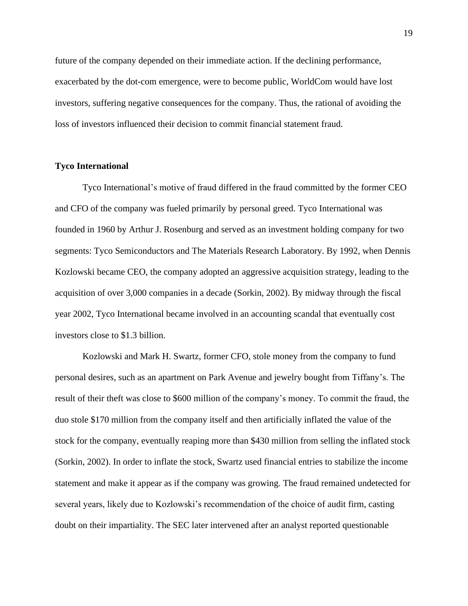future of the company depended on their immediate action. If the declining performance, exacerbated by the dot-com emergence, were to become public, WorldCom would have lost investors, suffering negative consequences for the company. Thus, the rational of avoiding the loss of investors influenced their decision to commit financial statement fraud.

## <span id="page-19-0"></span>**Tyco International**

Tyco International's motive of fraud differed in the fraud committed by the former CEO and CFO of the company was fueled primarily by personal greed. Tyco International was founded in 1960 by Arthur J. Rosenburg and served as an investment holding company for two segments: Tyco Semiconductors and The Materials Research Laboratory. By 1992, when Dennis Kozlowski became CEO, the company adopted an aggressive acquisition strategy, leading to the acquisition of over 3,000 companies in a decade (Sorkin, 2002). By midway through the fiscal year 2002, Tyco International became involved in an accounting scandal that eventually cost investors close to \$1.3 billion.

Kozlowski and Mark H. Swartz, former CFO, stole money from the company to fund personal desires, such as an apartment on Park Avenue and jewelry bought from Tiffany's. The result of their theft was close to \$600 million of the company's money. To commit the fraud, the duo stole \$170 million from the company itself and then artificially inflated the value of the stock for the company, eventually reaping more than \$430 million from selling the inflated stock (Sorkin, 2002). In order to inflate the stock, Swartz used financial entries to stabilize the income statement and make it appear as if the company was growing. The fraud remained undetected for several years, likely due to Kozlowski's recommendation of the choice of audit firm, casting doubt on their impartiality. The SEC later intervened after an analyst reported questionable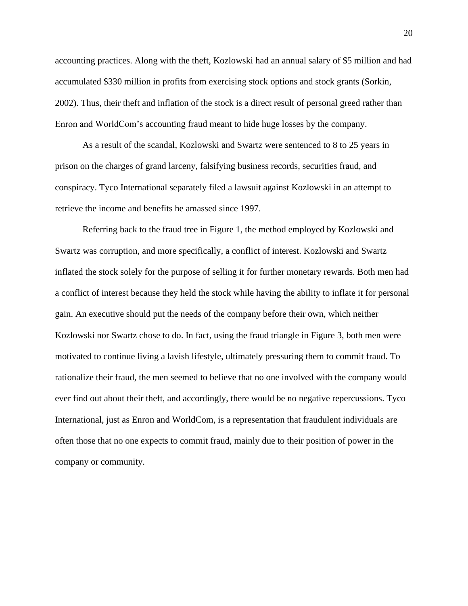accounting practices. Along with the theft, Kozlowski had an annual salary of \$5 million and had accumulated \$330 million in profits from exercising stock options and stock grants (Sorkin, 2002). Thus, their theft and inflation of the stock is a direct result of personal greed rather than Enron and WorldCom's accounting fraud meant to hide huge losses by the company.

As a result of the scandal, Kozlowski and Swartz were sentenced to 8 to 25 years in prison on the charges of grand larceny, falsifying business records, securities fraud, and conspiracy. Tyco International separately filed a lawsuit against Kozlowski in an attempt to retrieve the income and benefits he amassed since 1997.

Referring back to the fraud tree in Figure 1, the method employed by Kozlowski and Swartz was corruption, and more specifically, a conflict of interest. Kozlowski and Swartz inflated the stock solely for the purpose of selling it for further monetary rewards. Both men had a conflict of interest because they held the stock while having the ability to inflate it for personal gain. An executive should put the needs of the company before their own, which neither Kozlowski nor Swartz chose to do. In fact, using the fraud triangle in Figure 3, both men were motivated to continue living a lavish lifestyle, ultimately pressuring them to commit fraud. To rationalize their fraud, the men seemed to believe that no one involved with the company would ever find out about their theft, and accordingly, there would be no negative repercussions. Tyco International, just as Enron and WorldCom, is a representation that fraudulent individuals are often those that no one expects to commit fraud, mainly due to their position of power in the company or community.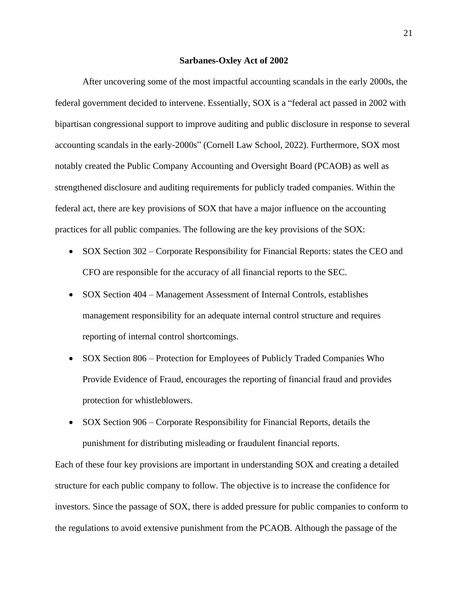#### **Sarbanes-Oxley Act of 2002**

<span id="page-21-0"></span>After uncovering some of the most impactful accounting scandals in the early 2000s, the federal government decided to intervene. Essentially, SOX is a "federal act passed in 2002 with bipartisan congressional support to improve auditing and public disclosure in response to several accounting scandals in the early-2000s" (Cornell Law School, 2022). Furthermore, SOX most notably created the Public Company Accounting and Oversight Board (PCAOB) as well as strengthened disclosure and auditing requirements for publicly traded companies. Within the federal act, there are key provisions of SOX that have a major influence on the accounting practices for all public companies. The following are the key provisions of the SOX:

- SOX Section 302 Corporate Responsibility for Financial Reports: states the CEO and CFO are responsible for the accuracy of all financial reports to the SEC.
- SOX Section 404 Management Assessment of Internal Controls, establishes management responsibility for an adequate internal control structure and requires reporting of internal control shortcomings.
- SOX Section 806 Protection for Employees of Publicly Traded Companies Who Provide Evidence of Fraud, encourages the reporting of financial fraud and provides protection for whistleblowers.
- SOX Section 906 Corporate Responsibility for Financial Reports, details the punishment for distributing misleading or fraudulent financial reports.

Each of these four key provisions are important in understanding SOX and creating a detailed structure for each public company to follow. The objective is to increase the confidence for investors. Since the passage of SOX, there is added pressure for public companies to conform to the regulations to avoid extensive punishment from the PCAOB. Although the passage of the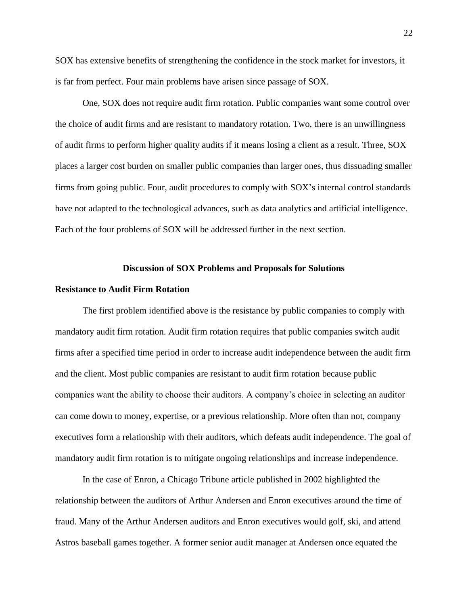SOX has extensive benefits of strengthening the confidence in the stock market for investors, it is far from perfect. Four main problems have arisen since passage of SOX.

One, SOX does not require audit firm rotation. Public companies want some control over the choice of audit firms and are resistant to mandatory rotation. Two, there is an unwillingness of audit firms to perform higher quality audits if it means losing a client as a result. Three, SOX places a larger cost burden on smaller public companies than larger ones, thus dissuading smaller firms from going public. Four, audit procedures to comply with SOX's internal control standards have not adapted to the technological advances, such as data analytics and artificial intelligence. Each of the four problems of SOX will be addressed further in the next section.

#### **Discussion of SOX Problems and Proposals for Solutions**

## <span id="page-22-1"></span><span id="page-22-0"></span>**Resistance to Audit Firm Rotation**

The first problem identified above is the resistance by public companies to comply with mandatory audit firm rotation. Audit firm rotation requires that public companies switch audit firms after a specified time period in order to increase audit independence between the audit firm and the client. Most public companies are resistant to audit firm rotation because public companies want the ability to choose their auditors. A company's choice in selecting an auditor can come down to money, expertise, or a previous relationship. More often than not, company executives form a relationship with their auditors, which defeats audit independence. The goal of mandatory audit firm rotation is to mitigate ongoing relationships and increase independence.

In the case of Enron, a Chicago Tribune article published in 2002 highlighted the relationship between the auditors of Arthur Andersen and Enron executives around the time of fraud. Many of the Arthur Andersen auditors and Enron executives would golf, ski, and attend Astros baseball games together. A former senior audit manager at Andersen once equated the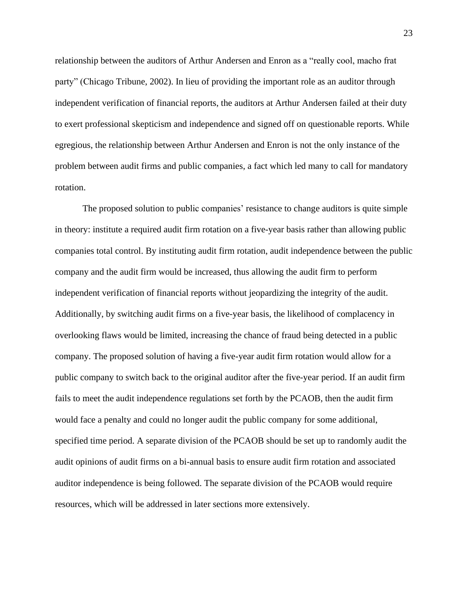relationship between the auditors of Arthur Andersen and Enron as a "really cool, macho frat party" (Chicago Tribune, 2002). In lieu of providing the important role as an auditor through independent verification of financial reports, the auditors at Arthur Andersen failed at their duty to exert professional skepticism and independence and signed off on questionable reports. While egregious, the relationship between Arthur Andersen and Enron is not the only instance of the problem between audit firms and public companies, a fact which led many to call for mandatory rotation.

The proposed solution to public companies' resistance to change auditors is quite simple in theory: institute a required audit firm rotation on a five-year basis rather than allowing public companies total control. By instituting audit firm rotation, audit independence between the public company and the audit firm would be increased, thus allowing the audit firm to perform independent verification of financial reports without jeopardizing the integrity of the audit. Additionally, by switching audit firms on a five-year basis, the likelihood of complacency in overlooking flaws would be limited, increasing the chance of fraud being detected in a public company. The proposed solution of having a five-year audit firm rotation would allow for a public company to switch back to the original auditor after the five-year period. If an audit firm fails to meet the audit independence regulations set forth by the PCAOB, then the audit firm would face a penalty and could no longer audit the public company for some additional, specified time period. A separate division of the PCAOB should be set up to randomly audit the audit opinions of audit firms on a bi-annual basis to ensure audit firm rotation and associated auditor independence is being followed. The separate division of the PCAOB would require resources, which will be addressed in later sections more extensively.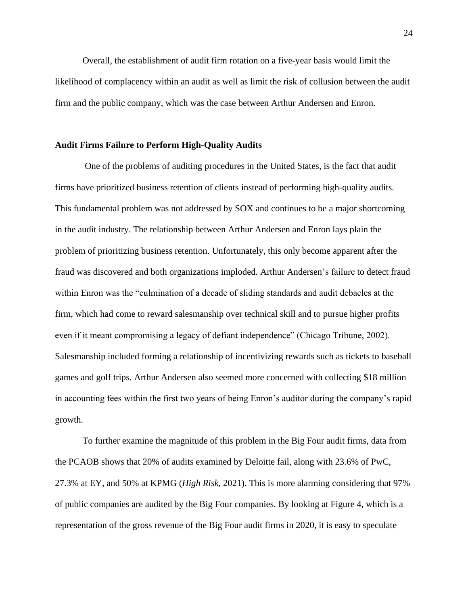Overall, the establishment of audit firm rotation on a five-year basis would limit the likelihood of complacency within an audit as well as limit the risk of collusion between the audit firm and the public company, which was the case between Arthur Andersen and Enron.

## <span id="page-24-0"></span>**Audit Firms Failure to Perform High-Quality Audits**

One of the problems of auditing procedures in the United States, is the fact that audit firms have prioritized business retention of clients instead of performing high-quality audits. This fundamental problem was not addressed by SOX and continues to be a major shortcoming in the audit industry. The relationship between Arthur Andersen and Enron lays plain the problem of prioritizing business retention. Unfortunately, this only become apparent after the fraud was discovered and both organizations imploded. Arthur Andersen's failure to detect fraud within Enron was the "culmination of a decade of sliding standards and audit debacles at the firm, which had come to reward salesmanship over technical skill and to pursue higher profits even if it meant compromising a legacy of defiant independence" (Chicago Tribune, 2002). Salesmanship included forming a relationship of incentivizing rewards such as tickets to baseball games and golf trips. Arthur Andersen also seemed more concerned with collecting \$18 million in accounting fees within the first two years of being Enron's auditor during the company's rapid growth.

To further examine the magnitude of this problem in the Big Four audit firms, data from the PCAOB shows that 20% of audits examined by Deloitte fail, along with 23.6% of PwC, 27.3% at EY, and 50% at KPMG (*High Risk*, 2021). This is more alarming considering that 97% of public companies are audited by the Big Four companies. By looking at Figure 4, which is a representation of the gross revenue of the Big Four audit firms in 2020, it is easy to speculate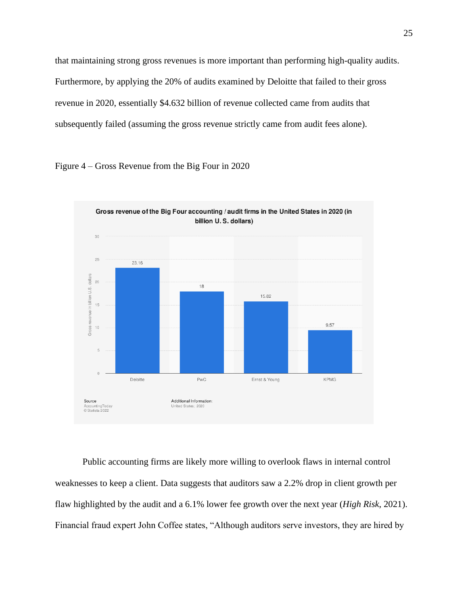that maintaining strong gross revenues is more important than performing high-quality audits. Furthermore, by applying the 20% of audits examined by Deloitte that failed to their gross revenue in 2020, essentially \$4.632 billion of revenue collected came from audits that subsequently failed (assuming the gross revenue strictly came from audit fees alone).





Public accounting firms are likely more willing to overlook flaws in internal control weaknesses to keep a client. Data suggests that auditors saw a 2.2% drop in client growth per flaw highlighted by the audit and a 6.1% lower fee growth over the next year (*High Risk*, 2021). Financial fraud expert John Coffee states, "Although auditors serve investors, they are hired by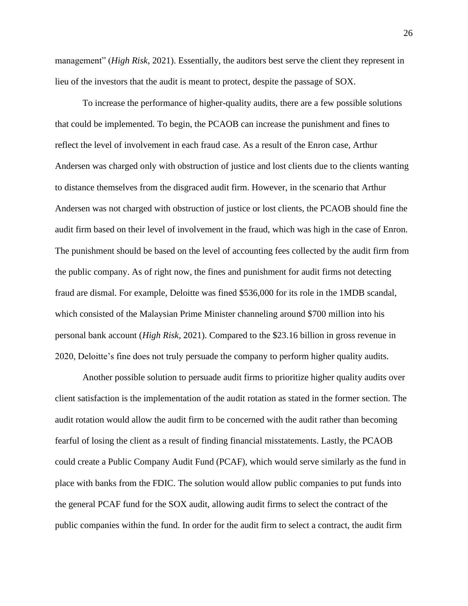management" (*High Risk*, 2021). Essentially, the auditors best serve the client they represent in lieu of the investors that the audit is meant to protect, despite the passage of SOX.

To increase the performance of higher-quality audits, there are a few possible solutions that could be implemented. To begin, the PCAOB can increase the punishment and fines to reflect the level of involvement in each fraud case. As a result of the Enron case, Arthur Andersen was charged only with obstruction of justice and lost clients due to the clients wanting to distance themselves from the disgraced audit firm. However, in the scenario that Arthur Andersen was not charged with obstruction of justice or lost clients, the PCAOB should fine the audit firm based on their level of involvement in the fraud, which was high in the case of Enron. The punishment should be based on the level of accounting fees collected by the audit firm from the public company. As of right now, the fines and punishment for audit firms not detecting fraud are dismal. For example, Deloitte was fined \$536,000 for its role in the 1MDB scandal, which consisted of the Malaysian Prime Minister channeling around \$700 million into his personal bank account (*High Risk*, 2021). Compared to the \$23.16 billion in gross revenue in 2020, Deloitte's fine does not truly persuade the company to perform higher quality audits.

Another possible solution to persuade audit firms to prioritize higher quality audits over client satisfaction is the implementation of the audit rotation as stated in the former section. The audit rotation would allow the audit firm to be concerned with the audit rather than becoming fearful of losing the client as a result of finding financial misstatements. Lastly, the PCAOB could create a Public Company Audit Fund (PCAF), which would serve similarly as the fund in place with banks from the FDIC. The solution would allow public companies to put funds into the general PCAF fund for the SOX audit, allowing audit firms to select the contract of the public companies within the fund. In order for the audit firm to select a contract, the audit firm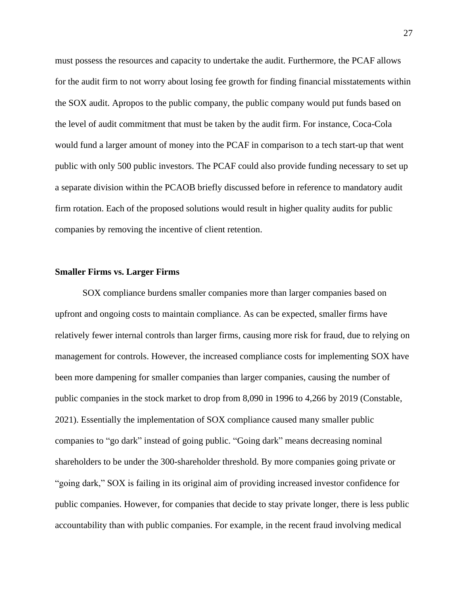must possess the resources and capacity to undertake the audit. Furthermore, the PCAF allows for the audit firm to not worry about losing fee growth for finding financial misstatements within the SOX audit. Apropos to the public company, the public company would put funds based on the level of audit commitment that must be taken by the audit firm. For instance, Coca-Cola would fund a larger amount of money into the PCAF in comparison to a tech start-up that went public with only 500 public investors. The PCAF could also provide funding necessary to set up a separate division within the PCAOB briefly discussed before in reference to mandatory audit firm rotation. Each of the proposed solutions would result in higher quality audits for public companies by removing the incentive of client retention.

## <span id="page-27-0"></span>**Smaller Firms vs. Larger Firms**

SOX compliance burdens smaller companies more than larger companies based on upfront and ongoing costs to maintain compliance. As can be expected, smaller firms have relatively fewer internal controls than larger firms, causing more risk for fraud, due to relying on management for controls. However, the increased compliance costs for implementing SOX have been more dampening for smaller companies than larger companies, causing the number of public companies in the stock market to drop from 8,090 in 1996 to 4,266 by 2019 (Constable, 2021). Essentially the implementation of SOX compliance caused many smaller public companies to "go dark" instead of going public. "Going dark" means decreasing nominal shareholders to be under the 300-shareholder threshold. By more companies going private or "going dark," SOX is failing in its original aim of providing increased investor confidence for public companies. However, for companies that decide to stay private longer, there is less public accountability than with public companies. For example, in the recent fraud involving medical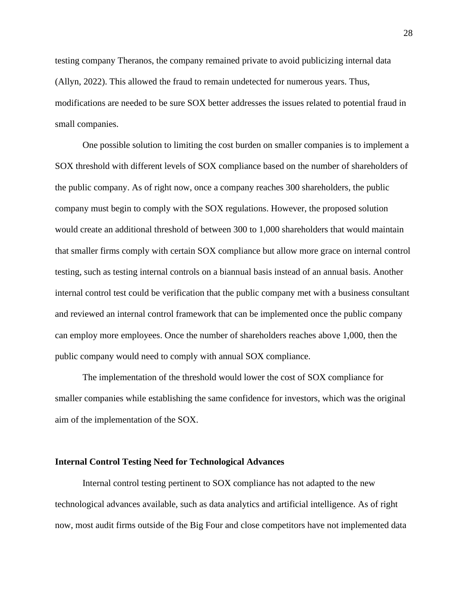testing company Theranos, the company remained private to avoid publicizing internal data (Allyn, 2022). This allowed the fraud to remain undetected for numerous years. Thus, modifications are needed to be sure SOX better addresses the issues related to potential fraud in small companies.

One possible solution to limiting the cost burden on smaller companies is to implement a SOX threshold with different levels of SOX compliance based on the number of shareholders of the public company. As of right now, once a company reaches 300 shareholders, the public company must begin to comply with the SOX regulations. However, the proposed solution would create an additional threshold of between 300 to 1,000 shareholders that would maintain that smaller firms comply with certain SOX compliance but allow more grace on internal control testing, such as testing internal controls on a biannual basis instead of an annual basis. Another internal control test could be verification that the public company met with a business consultant and reviewed an internal control framework that can be implemented once the public company can employ more employees. Once the number of shareholders reaches above 1,000, then the public company would need to comply with annual SOX compliance.

The implementation of the threshold would lower the cost of SOX compliance for smaller companies while establishing the same confidence for investors, which was the original aim of the implementation of the SOX.

#### <span id="page-28-0"></span>**Internal Control Testing Need for Technological Advances**

Internal control testing pertinent to SOX compliance has not adapted to the new technological advances available, such as data analytics and artificial intelligence. As of right now, most audit firms outside of the Big Four and close competitors have not implemented data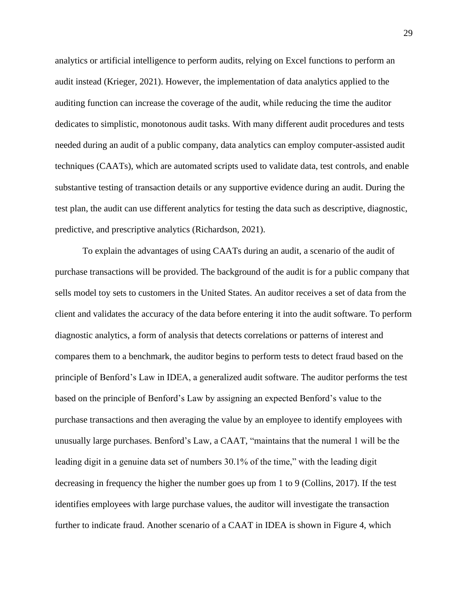analytics or artificial intelligence to perform audits, relying on Excel functions to perform an audit instead (Krieger, 2021). However, the implementation of data analytics applied to the auditing function can increase the coverage of the audit, while reducing the time the auditor dedicates to simplistic, monotonous audit tasks. With many different audit procedures and tests needed during an audit of a public company, data analytics can employ computer-assisted audit techniques (CAATs), which are automated scripts used to validate data, test controls, and enable substantive testing of transaction details or any supportive evidence during an audit. During the test plan, the audit can use different analytics for testing the data such as descriptive, diagnostic, predictive, and prescriptive analytics (Richardson, 2021).

To explain the advantages of using CAATs during an audit, a scenario of the audit of purchase transactions will be provided. The background of the audit is for a public company that sells model toy sets to customers in the United States. An auditor receives a set of data from the client and validates the accuracy of the data before entering it into the audit software. To perform diagnostic analytics, a form of analysis that detects correlations or patterns of interest and compares them to a benchmark, the auditor begins to perform tests to detect fraud based on the principle of Benford's Law in IDEA, a generalized audit software. The auditor performs the test based on the principle of Benford's Law by assigning an expected Benford's value to the purchase transactions and then averaging the value by an employee to identify employees with unusually large purchases. Benford's Law, a CAAT, "maintains that the numeral 1 will be the leading digit in a genuine data set of numbers 30.1% of the time," with the leading digit decreasing in frequency the higher the number goes up from 1 to 9 (Collins, 2017). If the test identifies employees with large purchase values, the auditor will investigate the transaction further to indicate fraud. Another scenario of a CAAT in IDEA is shown in Figure 4, which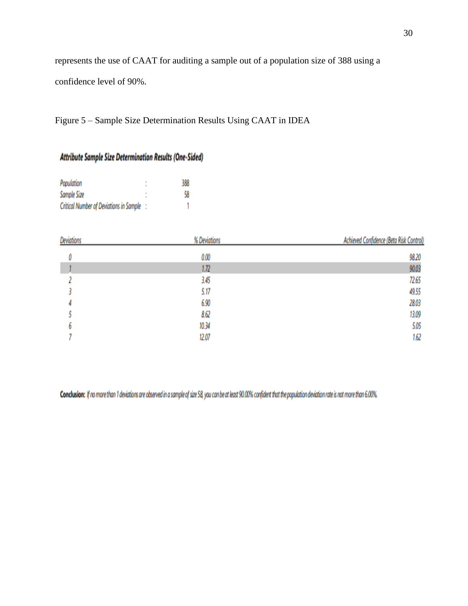represents the use of CAAT for auditing a sample out of a population size of 388 using a

confidence level of 90%.

Figure 5 – Sample Size Determination Results Using CAAT in IDEA

## Attribute Sample Size Determination Results (One-Sided)

| Population                                     | ٠ | 388 |
|------------------------------------------------|---|-----|
| Sample Size                                    |   | 58  |
| <b>Critical Number of Deviations in Sample</b> |   |     |

| <b>Deviations</b> | % Deviations | Achieved Confidence (Beta Risk Control) |
|-------------------|--------------|-----------------------------------------|
|                   | 0.00         | 98.20                                   |
|                   | 1.72         | 90.03                                   |
|                   | 3.45         | 72.65                                   |
|                   | 5.17         | 49.55                                   |
|                   | 6.90         | 28.03                                   |
|                   | 8.62         | 13.09                                   |
|                   | 10.34        | 5.05                                    |
|                   | 12.07        | 1.62                                    |

Conclusion: If no more than 1 deviations are observed in a sample of size 58, you can be at least 90.00% confident that the population deviation rate is not more than 6.00%.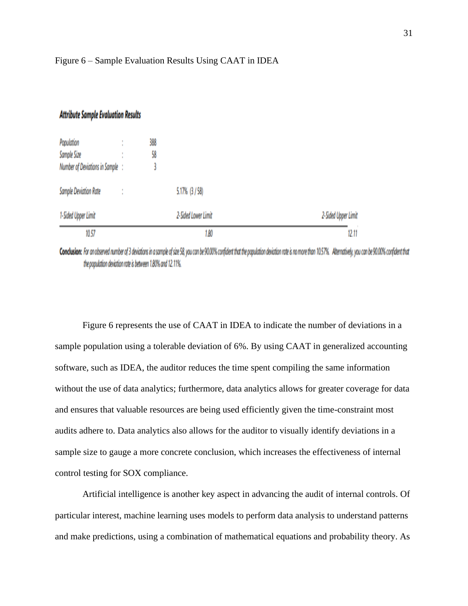## Figure 6 – Sample Evaluation Results Using CAAT in IDEA

## **Attribute Sample Evaluation Results**

| Population                       | 388 |                     |                     |
|----------------------------------|-----|---------------------|---------------------|
| Sample Size                      | 58  |                     |                     |
| Number of Deviations in Sample : |     |                     |                     |
| <b>Sample Deviation Rate</b>     |     | 5.17% (3/58)        |                     |
| 1-Sided Upper Limit              |     | 2-Sided Lower Limit | 2-Sided Upper Limit |
| 10.57                            |     | 1.80                | 12.11               |

Conclusion: For an observed number of 3 deviations in a sample of size 58, you can be 90.00% confident that the population deviation rate is no more than 10.57%. Alternatively, you can be 90.00% confident that the population deviation rate is between 1.80% and 12.11%.

Figure 6 represents the use of CAAT in IDEA to indicate the number of deviations in a sample population using a tolerable deviation of 6%. By using CAAT in generalized accounting software, such as IDEA, the auditor reduces the time spent compiling the same information without the use of data analytics; furthermore, data analytics allows for greater coverage for data and ensures that valuable resources are being used efficiently given the time-constraint most audits adhere to. Data analytics also allows for the auditor to visually identify deviations in a sample size to gauge a more concrete conclusion, which increases the effectiveness of internal control testing for SOX compliance.

Artificial intelligence is another key aspect in advancing the audit of internal controls. Of particular interest, machine learning uses models to perform data analysis to understand patterns and make predictions, using a combination of mathematical equations and probability theory. As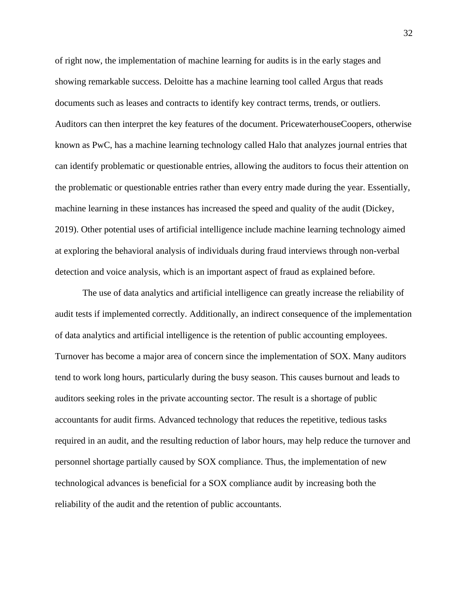of right now, the implementation of machine learning for audits is in the early stages and showing remarkable success. Deloitte has a machine learning tool called Argus that reads documents such as leases and contracts to identify key contract terms, trends, or outliers. Auditors can then interpret the key features of the document. PricewaterhouseCoopers, otherwise known as PwC, has a machine learning technology called Halo that analyzes journal entries that can identify problematic or questionable entries, allowing the auditors to focus their attention on the problematic or questionable entries rather than every entry made during the year. Essentially, machine learning in these instances has increased the speed and quality of the audit (Dickey, 2019). Other potential uses of artificial intelligence include machine learning technology aimed at exploring the behavioral analysis of individuals during fraud interviews through non-verbal detection and voice analysis, which is an important aspect of fraud as explained before.

The use of data analytics and artificial intelligence can greatly increase the reliability of audit tests if implemented correctly. Additionally, an indirect consequence of the implementation of data analytics and artificial intelligence is the retention of public accounting employees. Turnover has become a major area of concern since the implementation of SOX. Many auditors tend to work long hours, particularly during the busy season. This causes burnout and leads to auditors seeking roles in the private accounting sector. The result is a shortage of public accountants for audit firms. Advanced technology that reduces the repetitive, tedious tasks required in an audit, and the resulting reduction of labor hours, may help reduce the turnover and personnel shortage partially caused by SOX compliance. Thus, the implementation of new technological advances is beneficial for a SOX compliance audit by increasing both the reliability of the audit and the retention of public accountants.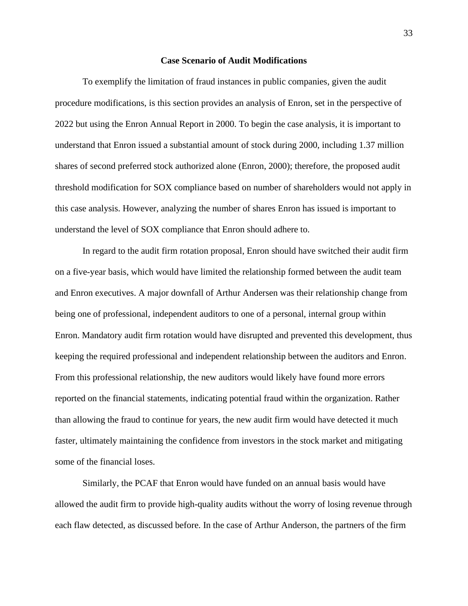### **Case Scenario of Audit Modifications**

<span id="page-33-0"></span>To exemplify the limitation of fraud instances in public companies, given the audit procedure modifications, is this section provides an analysis of Enron, set in the perspective of 2022 but using the Enron Annual Report in 2000. To begin the case analysis, it is important to understand that Enron issued a substantial amount of stock during 2000, including 1.37 million shares of second preferred stock authorized alone (Enron, 2000); therefore, the proposed audit threshold modification for SOX compliance based on number of shareholders would not apply in this case analysis. However, analyzing the number of shares Enron has issued is important to understand the level of SOX compliance that Enron should adhere to.

In regard to the audit firm rotation proposal, Enron should have switched their audit firm on a five-year basis, which would have limited the relationship formed between the audit team and Enron executives. A major downfall of Arthur Andersen was their relationship change from being one of professional, independent auditors to one of a personal, internal group within Enron. Mandatory audit firm rotation would have disrupted and prevented this development, thus keeping the required professional and independent relationship between the auditors and Enron. From this professional relationship, the new auditors would likely have found more errors reported on the financial statements, indicating potential fraud within the organization. Rather than allowing the fraud to continue for years, the new audit firm would have detected it much faster, ultimately maintaining the confidence from investors in the stock market and mitigating some of the financial loses.

Similarly, the PCAF that Enron would have funded on an annual basis would have allowed the audit firm to provide high-quality audits without the worry of losing revenue through each flaw detected, as discussed before. In the case of Arthur Anderson, the partners of the firm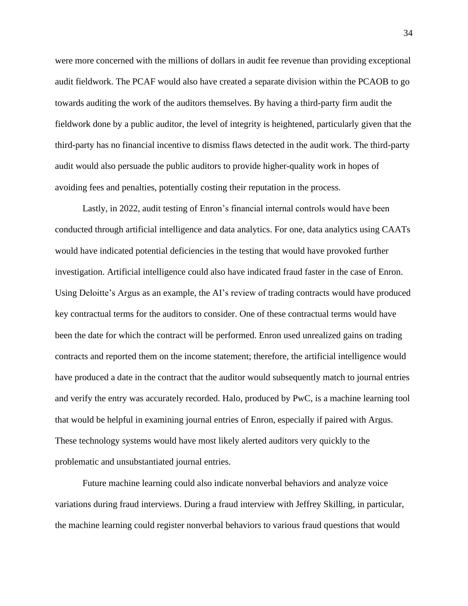were more concerned with the millions of dollars in audit fee revenue than providing exceptional audit fieldwork. The PCAF would also have created a separate division within the PCAOB to go towards auditing the work of the auditors themselves. By having a third-party firm audit the fieldwork done by a public auditor, the level of integrity is heightened, particularly given that the third-party has no financial incentive to dismiss flaws detected in the audit work. The third-party audit would also persuade the public auditors to provide higher-quality work in hopes of avoiding fees and penalties, potentially costing their reputation in the process.

Lastly, in 2022, audit testing of Enron's financial internal controls would have been conducted through artificial intelligence and data analytics. For one, data analytics using CAATs would have indicated potential deficiencies in the testing that would have provoked further investigation. Artificial intelligence could also have indicated fraud faster in the case of Enron. Using Deloitte's Argus as an example, the AI's review of trading contracts would have produced key contractual terms for the auditors to consider. One of these contractual terms would have been the date for which the contract will be performed. Enron used unrealized gains on trading contracts and reported them on the income statement; therefore, the artificial intelligence would have produced a date in the contract that the auditor would subsequently match to journal entries and verify the entry was accurately recorded. Halo, produced by PwC, is a machine learning tool that would be helpful in examining journal entries of Enron, especially if paired with Argus. These technology systems would have most likely alerted auditors very quickly to the problematic and unsubstantiated journal entries.

Future machine learning could also indicate nonverbal behaviors and analyze voice variations during fraud interviews. During a fraud interview with Jeffrey Skilling, in particular, the machine learning could register nonverbal behaviors to various fraud questions that would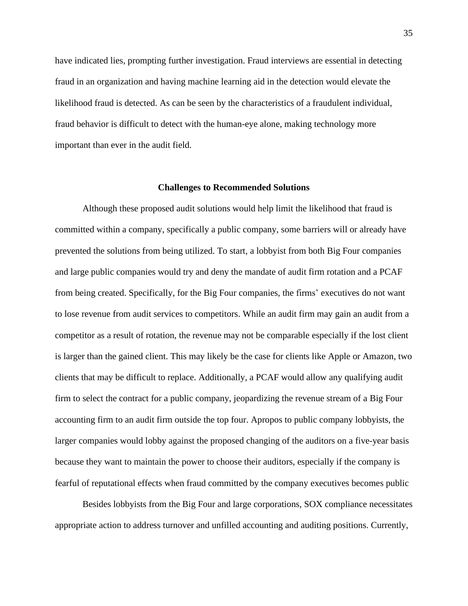have indicated lies, prompting further investigation. Fraud interviews are essential in detecting fraud in an organization and having machine learning aid in the detection would elevate the likelihood fraud is detected. As can be seen by the characteristics of a fraudulent individual, fraud behavior is difficult to detect with the human-eye alone, making technology more important than ever in the audit field.

#### **Challenges to Recommended Solutions**

<span id="page-35-0"></span>Although these proposed audit solutions would help limit the likelihood that fraud is committed within a company, specifically a public company, some barriers will or already have prevented the solutions from being utilized. To start, a lobbyist from both Big Four companies and large public companies would try and deny the mandate of audit firm rotation and a PCAF from being created. Specifically, for the Big Four companies, the firms' executives do not want to lose revenue from audit services to competitors. While an audit firm may gain an audit from a competitor as a result of rotation, the revenue may not be comparable especially if the lost client is larger than the gained client. This may likely be the case for clients like Apple or Amazon, two clients that may be difficult to replace. Additionally, a PCAF would allow any qualifying audit firm to select the contract for a public company, jeopardizing the revenue stream of a Big Four accounting firm to an audit firm outside the top four. Apropos to public company lobbyists, the larger companies would lobby against the proposed changing of the auditors on a five-year basis because they want to maintain the power to choose their auditors, especially if the company is fearful of reputational effects when fraud committed by the company executives becomes public

Besides lobbyists from the Big Four and large corporations, SOX compliance necessitates appropriate action to address turnover and unfilled accounting and auditing positions. Currently,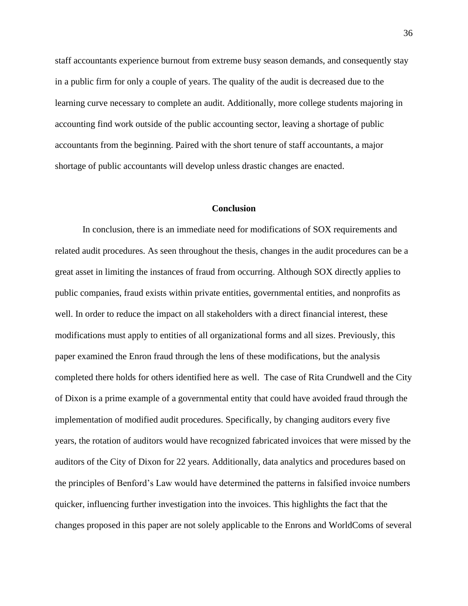staff accountants experience burnout from extreme busy season demands, and consequently stay in a public firm for only a couple of years. The quality of the audit is decreased due to the learning curve necessary to complete an audit. Additionally, more college students majoring in accounting find work outside of the public accounting sector, leaving a shortage of public accountants from the beginning. Paired with the short tenure of staff accountants, a major shortage of public accountants will develop unless drastic changes are enacted.

#### **Conclusion**

<span id="page-36-0"></span>In conclusion, there is an immediate need for modifications of SOX requirements and related audit procedures. As seen throughout the thesis, changes in the audit procedures can be a great asset in limiting the instances of fraud from occurring. Although SOX directly applies to public companies, fraud exists within private entities, governmental entities, and nonprofits as well. In order to reduce the impact on all stakeholders with a direct financial interest, these modifications must apply to entities of all organizational forms and all sizes. Previously, this paper examined the Enron fraud through the lens of these modifications, but the analysis completed there holds for others identified here as well. The case of Rita Crundwell and the City of Dixon is a prime example of a governmental entity that could have avoided fraud through the implementation of modified audit procedures. Specifically, by changing auditors every five years, the rotation of auditors would have recognized fabricated invoices that were missed by the auditors of the City of Dixon for 22 years. Additionally, data analytics and procedures based on the principles of Benford's Law would have determined the patterns in falsified invoice numbers quicker, influencing further investigation into the invoices. This highlights the fact that the changes proposed in this paper are not solely applicable to the Enrons and WorldComs of several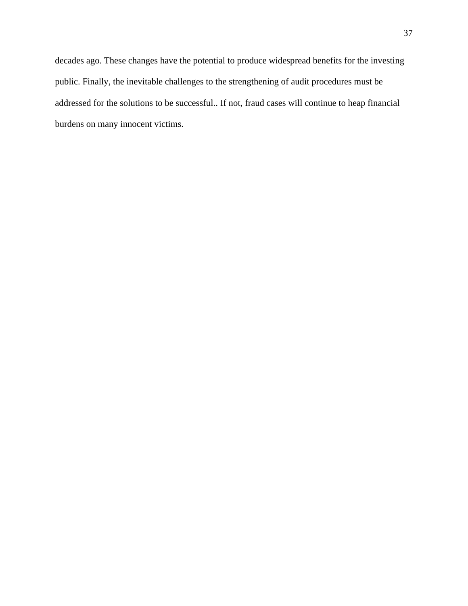decades ago. These changes have the potential to produce widespread benefits for the investing public. Finally, the inevitable challenges to the strengthening of audit procedures must be addressed for the solutions to be successful.. If not, fraud cases will continue to heap financial burdens on many innocent victims.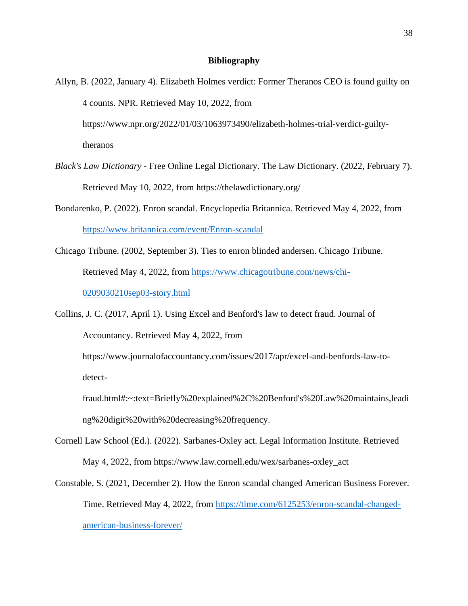## **Bibliography**

- <span id="page-38-0"></span>Allyn, B. (2022, January 4). Elizabeth Holmes verdict: Former Theranos CEO is found guilty on 4 counts. NPR. Retrieved May 10, 2022, from https://www.npr.org/2022/01/03/1063973490/elizabeth-holmes-trial-verdict-guiltytheranos
- *Black's Law Dictionary* Free Online Legal Dictionary. The Law Dictionary. (2022, February 7). Retrieved May 10, 2022, from https://thelawdictionary.org/
- Bondarenko, P. (2022). Enron scandal. Encyclopedia Britannica. Retrieved May 4, 2022, from <https://www.britannica.com/event/Enron-scandal>
- Chicago Tribune. (2002, September 3). Ties to enron blinded andersen. Chicago Tribune. Retrieved May 4, 2022, from [https://www.chicagotribune.com/news/chi-](https://www.chicagotribune.com/news/chi-0209030210sep03-story.html)[0209030210sep03-story.html](https://www.chicagotribune.com/news/chi-0209030210sep03-story.html)

Collins, J. C. (2017, April 1). Using Excel and Benford's law to detect fraud. Journal of Accountancy. Retrieved May 4, 2022, from https://www.journalofaccountancy.com/issues/2017/apr/excel-and-benfords-law-todetectfraud.html#:~:text=Briefly%20explained%2C%20Benford's%20Law%20maintains,leadi ng%20digit%20with%20decreasing%20frequency.

- Cornell Law School (Ed.). (2022). Sarbanes-Oxley act. Legal Information Institute. Retrieved May 4, 2022, from https://www.law.cornell.edu/wex/sarbanes-oxley\_act
- Constable, S. (2021, December 2). How the Enron scandal changed American Business Forever. Time. Retrieved May 4, 2022, from [https://time.com/6125253/enron-scandal-changed](https://time.com/6125253/enron-scandal-changed-american-business-forever/)[american-business-forever/](https://time.com/6125253/enron-scandal-changed-american-business-forever/)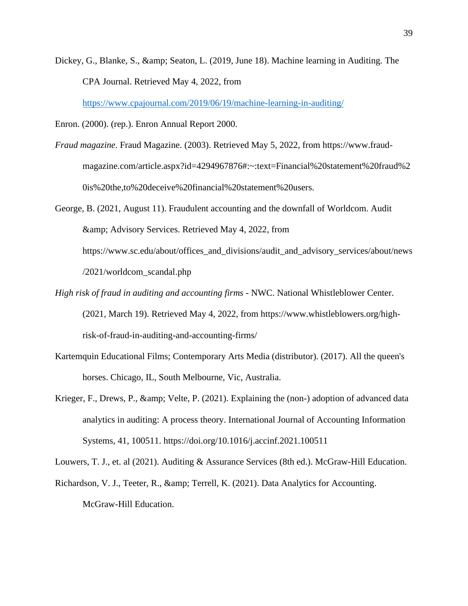Dickey, G., Blanke, S., & amp; Seaton, L. (2019, June 18). Machine learning in Auditing. The CPA Journal. Retrieved May 4, 2022, from

<https://www.cpajournal.com/2019/06/19/machine-learning-in-auditing/>

Enron. (2000). (rep.). Enron Annual Report 2000.

- *Fraud magazine*. Fraud Magazine. (2003). Retrieved May 5, 2022, from https://www.fraudmagazine.com/article.aspx?id=4294967876#:~:text=Financial%20statement%20fraud%2 0is%20the,to%20deceive%20financial%20statement%20users.
- George, B. (2021, August 11). Fraudulent accounting and the downfall of Worldcom. Audit & Advisory Services. Retrieved May 4, 2022, from https://www.sc.edu/about/offices\_and\_divisions/audit\_and\_advisory\_services/about/news /2021/worldcom\_scandal.php
- *High risk of fraud in auditing and accounting firms* NWC. National Whistleblower Center. (2021, March 19). Retrieved May 4, 2022, from https://www.whistleblowers.org/highrisk-of-fraud-in-auditing-and-accounting-firms/
- Kartemquin Educational Films; Contemporary Arts Media (distributor). (2017). All the queen's horses. Chicago, IL, South Melbourne, Vic, Australia.
- Krieger, F., Drews, P., & amp; Velte, P. (2021). Explaining the (non-) adoption of advanced data analytics in auditing: A process theory. International Journal of Accounting Information Systems, 41, 100511. https://doi.org/10.1016/j.accinf.2021.100511

Louwers, T. J., et. al (2021). Auditing & Assurance Services (8th ed.). McGraw-Hill Education.

Richardson, V. J., Teeter, R., & amp; Terrell, K. (2021). Data Analytics for Accounting. McGraw-Hill Education.